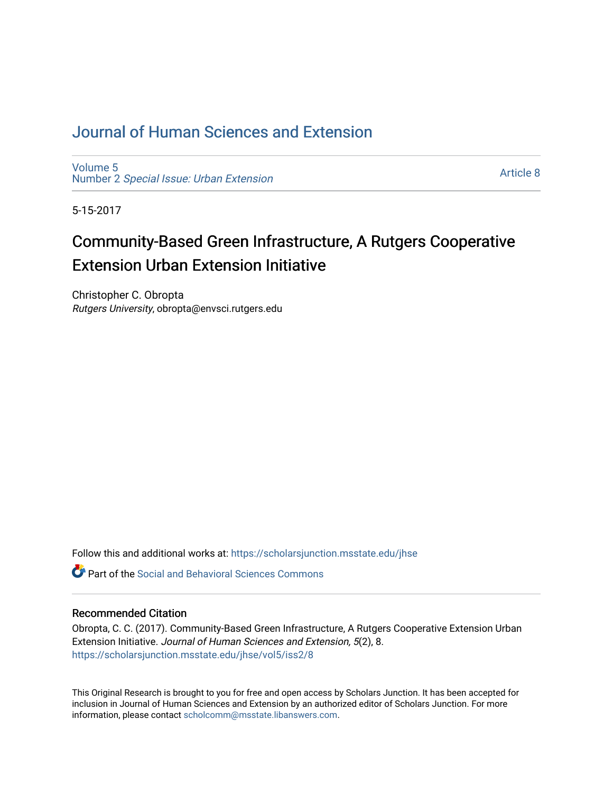# [Journal of Human Sciences and Extension](https://scholarsjunction.msstate.edu/jhse)

[Volume 5](https://scholarsjunction.msstate.edu/jhse/vol5) Number 2 [Special Issue: Urban Extension](https://scholarsjunction.msstate.edu/jhse/vol5/iss2) 

[Article 8](https://scholarsjunction.msstate.edu/jhse/vol5/iss2/8) 

5-15-2017

# Community-Based Green Infrastructure, A Rutgers Cooperative Extension Urban Extension Initiative

Christopher C. Obropta Rutgers University, obropta@envsci.rutgers.edu

Follow this and additional works at: [https://scholarsjunction.msstate.edu/jhse](https://scholarsjunction.msstate.edu/jhse?utm_source=scholarsjunction.msstate.edu%2Fjhse%2Fvol5%2Fiss2%2F8&utm_medium=PDF&utm_campaign=PDFCoverPages)

 $\bullet$  Part of the Social and Behavioral Sciences Commons

#### Recommended Citation

Obropta, C. C. (2017). Community-Based Green Infrastructure, A Rutgers Cooperative Extension Urban Extension Initiative. Journal of Human Sciences and Extension, 5(2), 8. [https://scholarsjunction.msstate.edu/jhse/vol5/iss2/8](https://scholarsjunction.msstate.edu/jhse/vol5/iss2/8?utm_source=scholarsjunction.msstate.edu%2Fjhse%2Fvol5%2Fiss2%2F8&utm_medium=PDF&utm_campaign=PDFCoverPages)

This Original Research is brought to you for free and open access by Scholars Junction. It has been accepted for inclusion in Journal of Human Sciences and Extension by an authorized editor of Scholars Junction. For more information, please contact [scholcomm@msstate.libanswers.com](mailto:scholcomm@msstate.libanswers.com).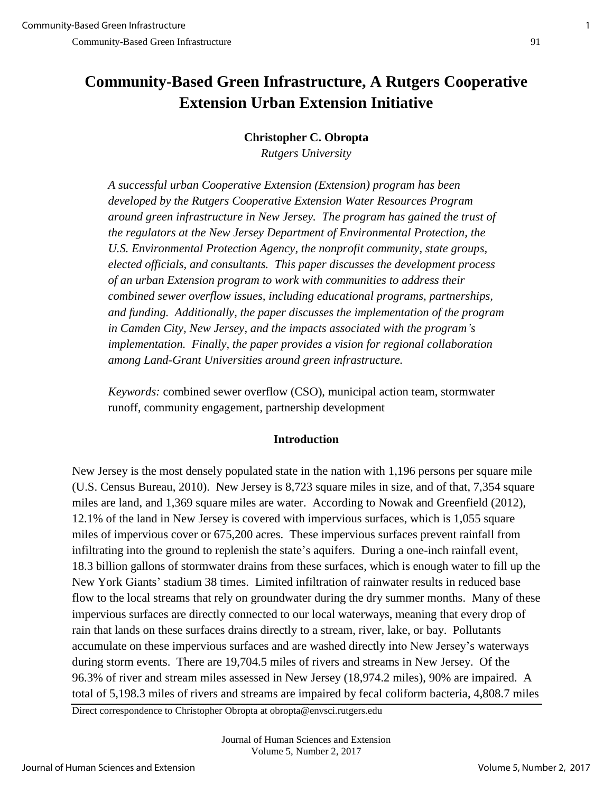# **Community-Based Green Infrastructure, A Rutgers Cooperative Extension Urban Extension Initiative**

# **Christopher C. Obropta**

*Rutgers University* 

*A successful urban Cooperative Extension (Extension) program has been developed by the Rutgers Cooperative Extension Water Resources Program around green infrastructure in New Jersey. The program has gained the trust of the regulators at the New Jersey Department of Environmental Protection, the U.S. Environmental Protection Agency, the nonprofit community, state groups, elected officials, and consultants. This paper discusses the development process of an urban Extension program to work with communities to address their combined sewer overflow issues, including educational programs, partnerships, and funding. Additionally, the paper discusses the implementation of the program in Camden City, New Jersey, and the impacts associated with the program's implementation. Finally, the paper provides a vision for regional collaboration among Land-Grant Universities around green infrastructure.* 

*Keywords:* combined sewer overflow (CSO), municipal action team, stormwater runoff, community engagement, partnership development

# **Introduction**

New Jersey is the most densely populated state in the nation with 1,196 persons per square mile (U.S. Census Bureau, 2010). New Jersey is 8,723 square miles in size, and of that, 7,354 square miles are land, and 1,369 square miles are water. According to Nowak and Greenfield (2012), 12.1% of the land in New Jersey is covered with impervious surfaces, which is 1,055 square miles of impervious cover or 675,200 acres. These impervious surfaces prevent rainfall from infiltrating into the ground to replenish the state's aquifers. During a one-inch rainfall event, 18.3 billion gallons of stormwater drains from these surfaces, which is enough water to fill up the New York Giants' stadium 38 times. Limited infiltration of rainwater results in reduced base flow to the local streams that rely on groundwater during the dry summer months. Many of these impervious surfaces are directly connected to our local waterways, meaning that every drop of rain that lands on these surfaces drains directly to a stream, river, lake, or bay. Pollutants accumulate on these impervious surfaces and are washed directly into New Jersey's waterways during storm events. There are 19,704.5 miles of rivers and streams in New Jersey. Of the 96.3% of river and stream miles assessed in New Jersey (18,974.2 miles), 90% are impaired. A total of 5,198.3 miles of rivers and streams are impaired by fecal coliform bacteria, 4,808.7 miles

Direct correspondence to Christopher Obropta at obropta@envsci.rutgers.edu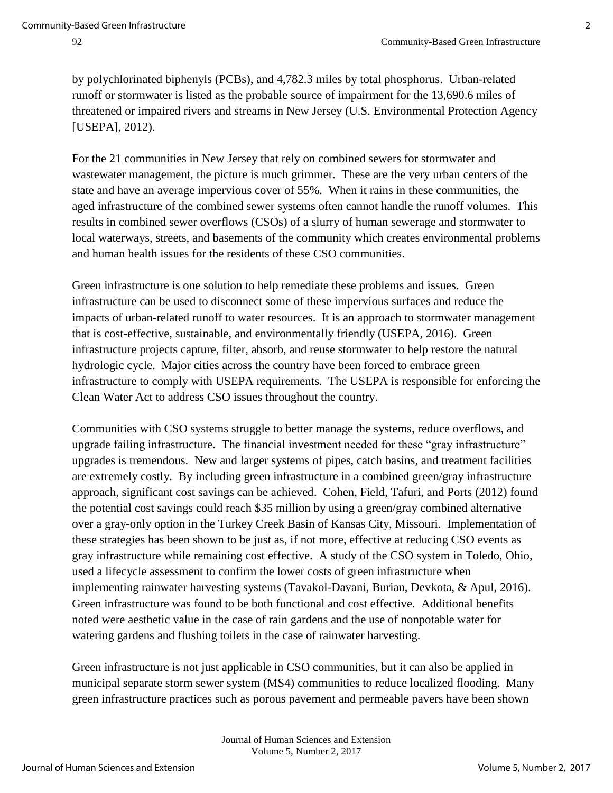by polychlorinated biphenyls (PCBs), and 4,782.3 miles by total phosphorus. Urban-related runoff or stormwater is listed as the probable source of impairment for the 13,690.6 miles of threatened or impaired rivers and streams in New Jersey (U.S. Environmental Protection Agency [USEPA], 2012).

For the 21 communities in New Jersey that rely on combined sewers for stormwater and wastewater management, the picture is much grimmer. These are the very urban centers of the state and have an average impervious cover of 55%. When it rains in these communities, the aged infrastructure of the combined sewer systems often cannot handle the runoff volumes. This results in combined sewer overflows (CSOs) of a slurry of human sewerage and stormwater to local waterways, streets, and basements of the community which creates environmental problems and human health issues for the residents of these CSO communities.

Green infrastructure is one solution to help remediate these problems and issues. Green infrastructure can be used to disconnect some of these impervious surfaces and reduce the impacts of urban-related runoff to water resources. It is an approach to stormwater management that is cost-effective, sustainable, and environmentally friendly (USEPA, 2016). Green infrastructure projects capture, filter, absorb, and reuse stormwater to help restore the natural hydrologic cycle. Major cities across the country have been forced to embrace green infrastructure to comply with USEPA requirements. The USEPA is responsible for enforcing the Clean Water Act to address CSO issues throughout the country.

Communities with CSO systems struggle to better manage the systems, reduce overflows, and upgrade failing infrastructure. The financial investment needed for these "gray infrastructure" upgrades is tremendous. New and larger systems of pipes, catch basins, and treatment facilities are extremely costly. By including green infrastructure in a combined green/gray infrastructure approach, significant cost savings can be achieved. Cohen, Field, Tafuri, and Ports (2012) found the potential cost savings could reach \$35 million by using a green/gray combined alternative over a gray-only option in the Turkey Creek Basin of Kansas City, Missouri. Implementation of these strategies has been shown to be just as, if not more, effective at reducing CSO events as gray infrastructure while remaining cost effective. A study of the CSO system in Toledo, Ohio, used a lifecycle assessment to confirm the lower costs of green infrastructure when implementing rainwater harvesting systems (Tavakol-Davani, Burian, Devkota, & Apul, 2016). Green infrastructure was found to be both functional and cost effective. Additional benefits noted were aesthetic value in the case of rain gardens and the use of nonpotable water for watering gardens and flushing toilets in the case of rainwater harvesting.

Green infrastructure is not just applicable in CSO communities, but it can also be applied in municipal separate storm sewer system (MS4) communities to reduce localized flooding. Many green infrastructure practices such as porous pavement and permeable pavers have been shown

> Journal of Human Sciences and Extension Volume 5, Number 2, 2017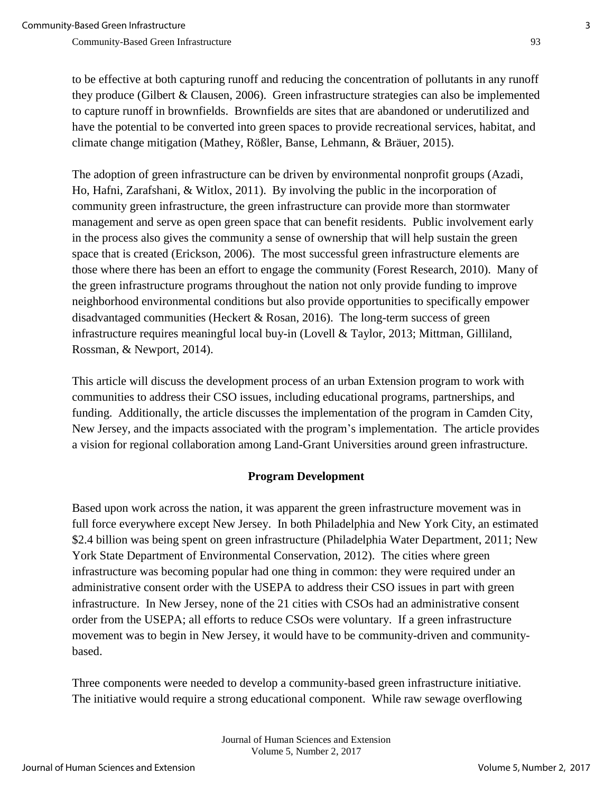to be effective at both capturing runoff and reducing the concentration of pollutants in any runoff they produce (Gilbert & Clausen, 2006). Green infrastructure strategies can also be implemented to capture runoff in brownfields. Brownfields are sites that are abandoned or underutilized and have the potential to be converted into green spaces to provide recreational services, habitat, and climate change mitigation [\(Mathey,](http://ascelibrary.org/author/Mathey%2C+Juliane) [Rößler,](http://ascelibrary.org/author/R%C3%B6%C3%9Fler%2C+Stefanie) [Banse,](http://ascelibrary.org/author/Banse%2C+Juliane) Lehmann, & Bräuer, 2015).

The adoption of green infrastructure can be driven by environmental nonprofit groups (Azadi, Ho, Hafni, Zarafshani, & Witlox, 2011). By involving the public in the incorporation of community green infrastructure, the green infrastructure can provide more than stormwater management and serve as open green space that can benefit residents. Public involvement early in the process also gives the community a sense of ownership that will help sustain the green space that is created (Erickson, 2006). The most successful green infrastructure elements are those where there has been an effort to engage the community (Forest Research, 2010). Many of the green infrastructure programs throughout the nation not only provide funding to improve neighborhood environmental conditions but also provide opportunities to specifically empower disadvantaged communities (Heckert & Rosan, 2016). The long-term success of green infrastructure requires meaningful local buy-in (Lovell & Taylor, 2013; Mittman, Gilliland, Rossman, & Newport, 2014).

This article will discuss the development process of an urban Extension program to work with communities to address their CSO issues, including educational programs, partnerships, and funding. Additionally, the article discusses the implementation of the program in Camden City, New Jersey, and the impacts associated with the program's implementation. The article provides a vision for regional collaboration among Land-Grant Universities around green infrastructure.

# **Program Development**

Based upon work across the nation, it was apparent the green infrastructure movement was in full force everywhere except New Jersey. In both Philadelphia and New York City, an estimated \$2.4 billion was being spent on green infrastructure (Philadelphia Water Department, 2011; New York State Department of Environmental Conservation, 2012). The cities where green infrastructure was becoming popular had one thing in common: they were required under an administrative consent order with the USEPA to address their CSO issues in part with green infrastructure. In New Jersey, none of the 21 cities with CSOs had an administrative consent order from the USEPA; all efforts to reduce CSOs were voluntary. If a green infrastructure movement was to begin in New Jersey, it would have to be community-driven and communitybased.

Three components were needed to develop a community-based green infrastructure initiative. The initiative would require a strong educational component. While raw sewage overflowing

> Journal of Human Sciences and Extension Volume 5, Number 2, 2017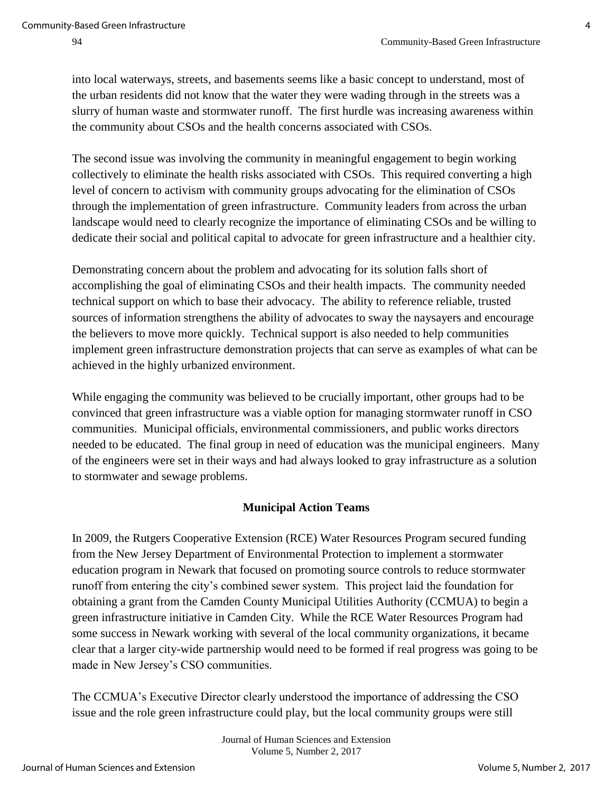into local waterways, streets, and basements seems like a basic concept to understand, most of the urban residents did not know that the water they were wading through in the streets was a slurry of human waste and stormwater runoff. The first hurdle was increasing awareness within the community about CSOs and the health concerns associated with CSOs.

The second issue was involving the community in meaningful engagement to begin working collectively to eliminate the health risks associated with CSOs. This required converting a high level of concern to activism with community groups advocating for the elimination of CSOs through the implementation of green infrastructure. Community leaders from across the urban landscape would need to clearly recognize the importance of eliminating CSOs and be willing to dedicate their social and political capital to advocate for green infrastructure and a healthier city.

Demonstrating concern about the problem and advocating for its solution falls short of accomplishing the goal of eliminating CSOs and their health impacts. The community needed technical support on which to base their advocacy. The ability to reference reliable, trusted sources of information strengthens the ability of advocates to sway the naysayers and encourage the believers to move more quickly. Technical support is also needed to help communities implement green infrastructure demonstration projects that can serve as examples of what can be achieved in the highly urbanized environment.

While engaging the community was believed to be crucially important, other groups had to be convinced that green infrastructure was a viable option for managing stormwater runoff in CSO communities. Municipal officials, environmental commissioners, and public works directors needed to be educated. The final group in need of education was the municipal engineers. Many of the engineers were set in their ways and had always looked to gray infrastructure as a solution to stormwater and sewage problems.

# **Municipal Action Teams**

In 2009, the Rutgers Cooperative Extension (RCE) Water Resources Program secured funding from the New Jersey Department of Environmental Protection to implement a stormwater education program in Newark that focused on promoting source controls to reduce stormwater runoff from entering the city's combined sewer system. This project laid the foundation for obtaining a grant from the Camden County Municipal Utilities Authority (CCMUA) to begin a green infrastructure initiative in Camden City. While the RCE Water Resources Program had some success in Newark working with several of the local community organizations, it became clear that a larger city-wide partnership would need to be formed if real progress was going to be made in New Jersey's CSO communities.

The CCMUA's Executive Director clearly understood the importance of addressing the CSO issue and the role green infrastructure could play, but the local community groups were still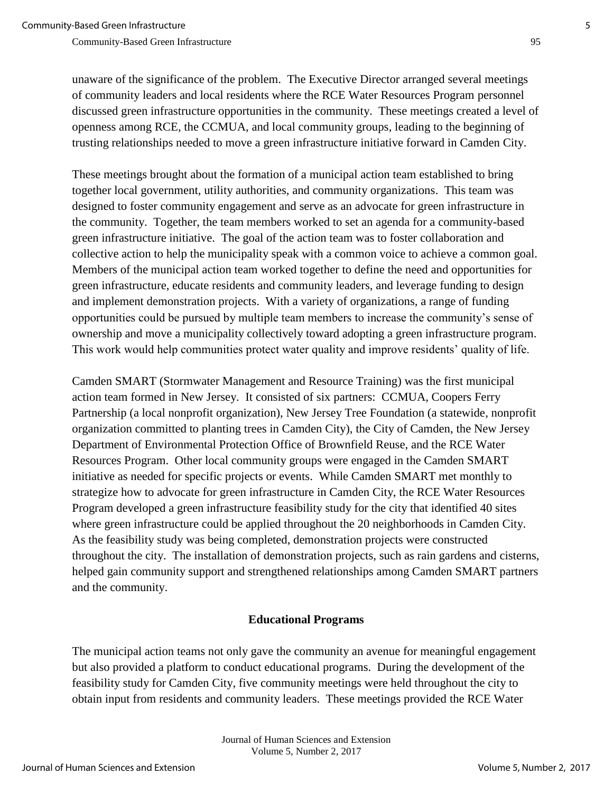unaware of the significance of the problem. The Executive Director arranged several meetings of community leaders and local residents where the RCE Water Resources Program personnel discussed green infrastructure opportunities in the community. These meetings created a level of openness among RCE, the CCMUA, and local community groups, leading to the beginning of trusting relationships needed to move a green infrastructure initiative forward in Camden City.

These meetings brought about the formation of a municipal action team established to bring together local government, utility authorities, and community organizations. This team was designed to foster community engagement and serve as an advocate for green infrastructure in the community. Together, the team members worked to set an agenda for a community-based green infrastructure initiative. The goal of the action team was to foster collaboration and collective action to help the municipality speak with a common voice to achieve a common goal. Members of the municipal action team worked together to define the need and opportunities for green infrastructure, educate residents and community leaders, and leverage funding to design and implement demonstration projects. With a variety of organizations, a range of funding opportunities could be pursued by multiple team members to increase the community's sense of ownership and move a municipality collectively toward adopting a green infrastructure program. This work would help communities protect water quality and improve residents' quality of life.

Camden SMART (Stormwater Management and Resource Training) was the first municipal action team formed in New Jersey. It consisted of six partners: CCMUA, Coopers Ferry Partnership (a local nonprofit organization), New Jersey Tree Foundation (a statewide, nonprofit organization committed to planting trees in Camden City), the City of Camden, the New Jersey Department of Environmental Protection Office of Brownfield Reuse, and the RCE Water Resources Program. Other local community groups were engaged in the Camden SMART initiative as needed for specific projects or events. While Camden SMART met monthly to strategize how to advocate for green infrastructure in Camden City, the RCE Water Resources Program developed a green infrastructure feasibility study for the city that identified 40 sites where green infrastructure could be applied throughout the 20 neighborhoods in Camden City. As the feasibility study was being completed, demonstration projects were constructed throughout the city. The installation of demonstration projects, such as rain gardens and cisterns, helped gain community support and strengthened relationships among Camden SMART partners and the community.

#### **Educational Programs**

The municipal action teams not only gave the community an avenue for meaningful engagement but also provided a platform to conduct educational programs. During the development of the feasibility study for Camden City, five community meetings were held throughout the city to obtain input from residents and community leaders. These meetings provided the RCE Water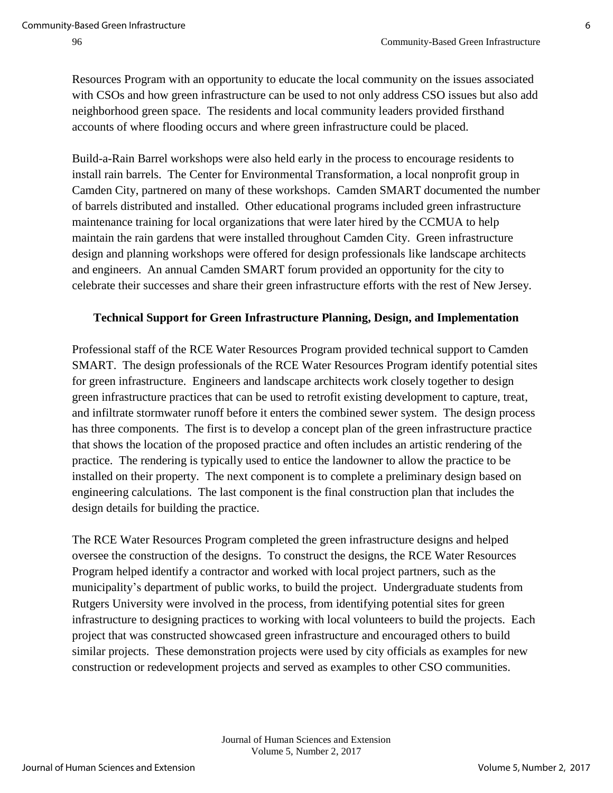Resources Program with an opportunity to educate the local community on the issues associated with CSOs and how green infrastructure can be used to not only address CSO issues but also add neighborhood green space. The residents and local community leaders provided firsthand accounts of where flooding occurs and where green infrastructure could be placed.

Build-a-Rain Barrel workshops were also held early in the process to encourage residents to install rain barrels. The Center for Environmental Transformation, a local nonprofit group in Camden City, partnered on many of these workshops. Camden SMART documented the number of barrels distributed and installed. Other educational programs included green infrastructure maintenance training for local organizations that were later hired by the CCMUA to help maintain the rain gardens that were installed throughout Camden City. Green infrastructure design and planning workshops were offered for design professionals like landscape architects and engineers. An annual Camden SMART forum provided an opportunity for the city to celebrate their successes and share their green infrastructure efforts with the rest of New Jersey.

#### **Technical Support for Green Infrastructure Planning, Design, and Implementation**

Professional staff of the RCE Water Resources Program provided technical support to Camden SMART. The design professionals of the RCE Water Resources Program identify potential sites for green infrastructure. Engineers and landscape architects work closely together to design green infrastructure practices that can be used to retrofit existing development to capture, treat, and infiltrate stormwater runoff before it enters the combined sewer system. The design process has three components. The first is to develop a concept plan of the green infrastructure practice that shows the location of the proposed practice and often includes an artistic rendering of the practice. The rendering is typically used to entice the landowner to allow the practice to be installed on their property. The next component is to complete a preliminary design based on engineering calculations. The last component is the final construction plan that includes the design details for building the practice.

The RCE Water Resources Program completed the green infrastructure designs and helped oversee the construction of the designs. To construct the designs, the RCE Water Resources Program helped identify a contractor and worked with local project partners, such as the municipality's department of public works, to build the project. Undergraduate students from Rutgers University were involved in the process, from identifying potential sites for green infrastructure to designing practices to working with local volunteers to build the projects. Each project that was constructed showcased green infrastructure and encouraged others to build similar projects. These demonstration projects were used by city officials as examples for new construction or redevelopment projects and served as examples to other CSO communities.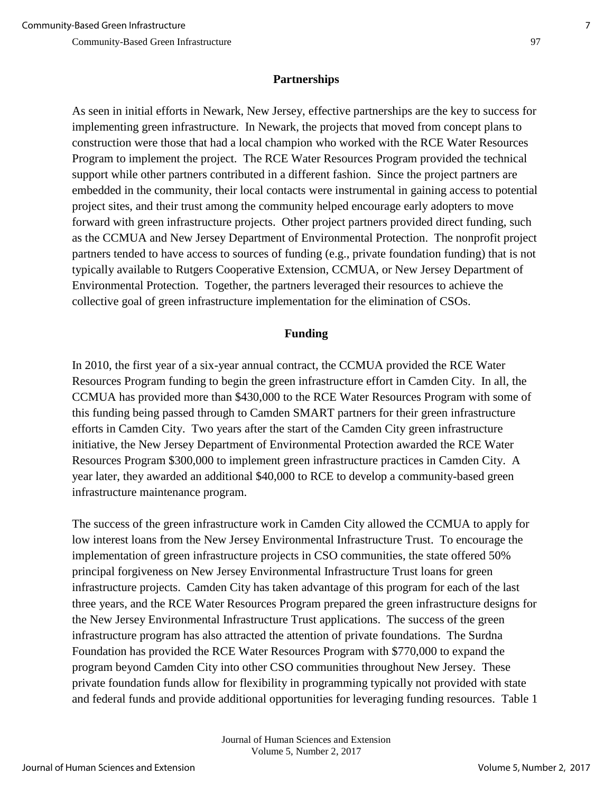### **Partnerships**

As seen in initial efforts in Newark, New Jersey, effective partnerships are the key to success for implementing green infrastructure. In Newark, the projects that moved from concept plans to construction were those that had a local champion who worked with the RCE Water Resources Program to implement the project. The RCE Water Resources Program provided the technical support while other partners contributed in a different fashion. Since the project partners are embedded in the community, their local contacts were instrumental in gaining access to potential project sites, and their trust among the community helped encourage early adopters to move forward with green infrastructure projects. Other project partners provided direct funding, such as the CCMUA and New Jersey Department of Environmental Protection. The nonprofit project partners tended to have access to sources of funding (e.g., private foundation funding) that is not typically available to Rutgers Cooperative Extension, CCMUA, or New Jersey Department of Environmental Protection. Together, the partners leveraged their resources to achieve the collective goal of green infrastructure implementation for the elimination of CSOs.

#### **Funding**

In 2010, the first year of a six-year annual contract, the CCMUA provided the RCE Water Resources Program funding to begin the green infrastructure effort in Camden City. In all, the CCMUA has provided more than \$430,000 to the RCE Water Resources Program with some of this funding being passed through to Camden SMART partners for their green infrastructure efforts in Camden City. Two years after the start of the Camden City green infrastructure initiative, the New Jersey Department of Environmental Protection awarded the RCE Water Resources Program \$300,000 to implement green infrastructure practices in Camden City. A year later, they awarded an additional \$40,000 to RCE to develop a community-based green infrastructure maintenance program.

The success of the green infrastructure work in Camden City allowed the CCMUA to apply for low interest loans from the New Jersey Environmental Infrastructure Trust. To encourage the implementation of green infrastructure projects in CSO communities, the state offered 50% principal forgiveness on New Jersey Environmental Infrastructure Trust loans for green infrastructure projects. Camden City has taken advantage of this program for each of the last three years, and the RCE Water Resources Program prepared the green infrastructure designs for the New Jersey Environmental Infrastructure Trust applications. The success of the green infrastructure program has also attracted the attention of private foundations. The Surdna Foundation has provided the RCE Water Resources Program with \$770,000 to expand the program beyond Camden City into other CSO communities throughout New Jersey. These private foundation funds allow for flexibility in programming typically not provided with state and federal funds and provide additional opportunities for leveraging funding resources. Table 1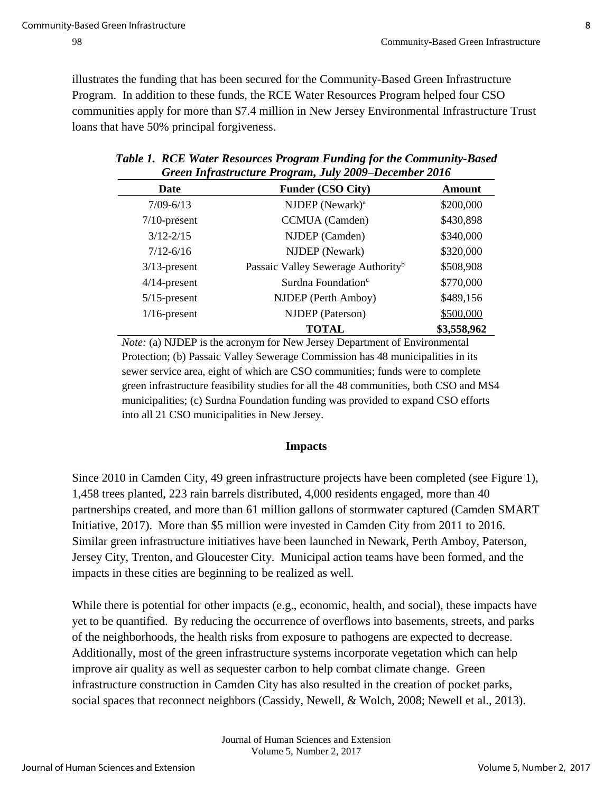illustrates the funding that has been secured for the Community-Based Green Infrastructure Program. In addition to these funds, the RCE Water Resources Program helped four CSO communities apply for more than \$7.4 million in New Jersey Environmental Infrastructure Trust loans that have 50% principal forgiveness.

| Date            | Funder (CSO City)                              | <b>Amount</b> |
|-----------------|------------------------------------------------|---------------|
| $7/09 - 6/13$   | NJDEP (Newark) <sup>a</sup>                    | \$200,000     |
| $7/10$ -present | CCMUA (Camden)                                 | \$430,898     |
| $3/12 - 2/15$   | NJDEP (Camden)                                 | \$340,000     |
| $7/12 - 6/16$   | NJDEP (Newark)                                 | \$320,000     |
| $3/13$ -present | Passaic Valley Sewerage Authority <sup>b</sup> | \$508,908     |
| $4/14$ -present | Surdna Foundation <sup>c</sup>                 | \$770,000     |
| $5/15$ -present | NJDEP (Perth Amboy)                            | \$489,156     |
| $1/16$ -present | NJDEP (Paterson)                               | \$500,000     |
|                 | <b>TOTAL</b>                                   | \$3,558,962   |

| Table 1. RCE Water Resources Program Funding for the Community-Based |
|----------------------------------------------------------------------|
| Green Infrastructure Program, July 2009–December 2016                |

*Note:* (a) **NJDEP** is the acronym for New Jersey Department of Environmental Protection; (b) Passaic Valley Sewerage Commission has 48 municipalities in its sewer service area, eight of which are CSO communities; funds were to complete green infrastructure feasibility studies for all the 48 communities, both CSO and MS4 municipalities; (c) Surdna Foundation funding was provided to expand CSO efforts into all 21 CSO municipalities in New Jersey.

# **Impacts**

Since 2010 in Camden City, 49 green infrastructure projects have been completed (see Figure 1), 1,458 trees planted, 223 rain barrels distributed, 4,000 residents engaged, more than 40 partnerships created, and more than 61 million gallons of stormwater captured (Camden SMART Initiative, 2017). More than \$5 million were invested in Camden City from 2011 to 2016. Similar green infrastructure initiatives have been launched in Newark, Perth Amboy, Paterson, Jersey City, Trenton, and Gloucester City. Municipal action teams have been formed, and the impacts in these cities are beginning to be realized as well.

While there is potential for other impacts (e.g., economic, health, and social), these impacts have yet to be quantified. By reducing the occurrence of overflows into basements, streets, and parks of the neighborhoods, the health risks from exposure to pathogens are expected to decrease. Additionally, most of the green infrastructure systems incorporate vegetation which can help improve air quality as well as sequester carbon to help combat climate change. Green infrastructure construction in Camden City has also resulted in the creation of pocket parks, social spaces that reconnect neighbors (Cassidy, Newell, & Wolch, 2008; Newell et al., 2013).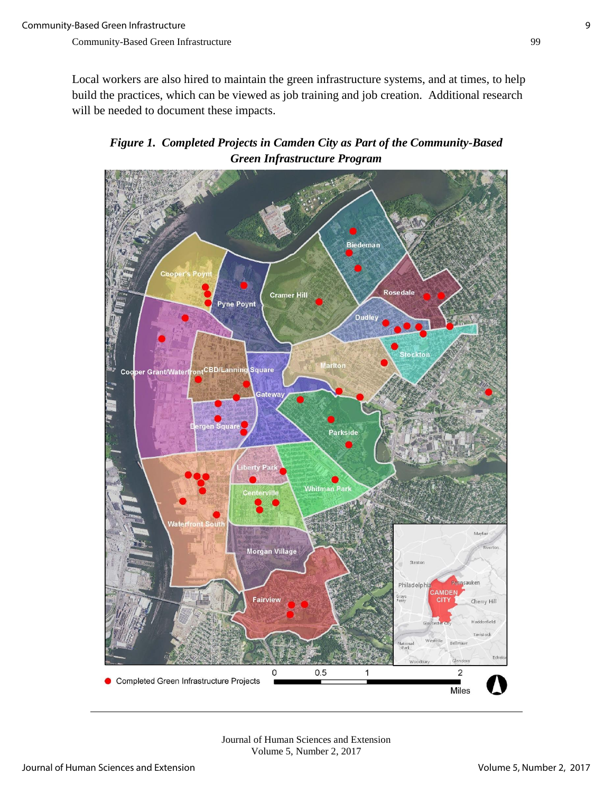Local workers are also hired to maintain the green infrastructure systems, and at times, to help build the practices, which can be viewed as job training and job creation. Additional research will be needed to document these impacts.

*Figure 1. Completed Projects in Camden City as Part of the Community-Based Green Infrastructure Program*



Journal of Human Sciences and Extension Volume 5, Number 2, 2017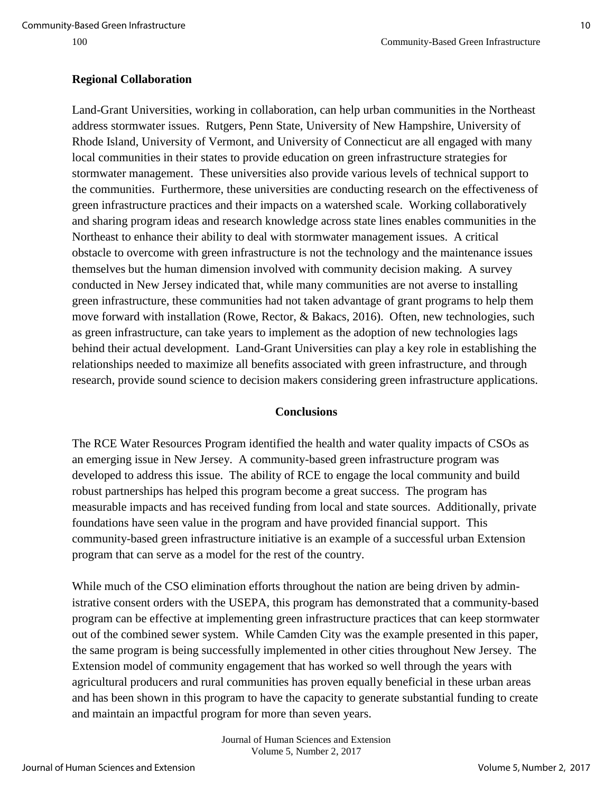#### **Regional Collaboration**

Land-Grant Universities, working in collaboration, can help urban communities in the Northeast address stormwater issues. Rutgers, Penn State, University of New Hampshire, University of Rhode Island, University of Vermont, and University of Connecticut are all engaged with many local communities in their states to provide education on green infrastructure strategies for stormwater management. These universities also provide various levels of technical support to the communities. Furthermore, these universities are conducting research on the effectiveness of green infrastructure practices and their impacts on a watershed scale. Working collaboratively and sharing program ideas and research knowledge across state lines enables communities in the Northeast to enhance their ability to deal with stormwater management issues. A critical obstacle to overcome with green infrastructure is not the technology and the maintenance issues themselves but the human dimension involved with community decision making. A survey conducted in New Jersey indicated that, while many communities are not averse to installing green infrastructure, these communities had not taken advantage of grant programs to help them move forward with installation (Rowe, Rector, & Bakacs, 2016). Often, new technologies, such as green infrastructure, can take years to implement as the adoption of new technologies lags behind their actual development. Land-Grant Universities can play a key role in establishing the relationships needed to maximize all benefits associated with green infrastructure, and through research, provide sound science to decision makers considering green infrastructure applications.

#### **Conclusions**

The RCE Water Resources Program identified the health and water quality impacts of CSOs as an emerging issue in New Jersey. A community-based green infrastructure program was developed to address this issue. The ability of RCE to engage the local community and build robust partnerships has helped this program become a great success. The program has measurable impacts and has received funding from local and state sources. Additionally, private foundations have seen value in the program and have provided financial support. This community-based green infrastructure initiative is an example of a successful urban Extension program that can serve as a model for the rest of the country.

While much of the CSO elimination efforts throughout the nation are being driven by administrative consent orders with the USEPA, this program has demonstrated that a community-based program can be effective at implementing green infrastructure practices that can keep stormwater out of the combined sewer system. While Camden City was the example presented in this paper, the same program is being successfully implemented in other cities throughout New Jersey. The Extension model of community engagement that has worked so well through the years with agricultural producers and rural communities has proven equally beneficial in these urban areas and has been shown in this program to have the capacity to generate substantial funding to create and maintain an impactful program for more than seven years.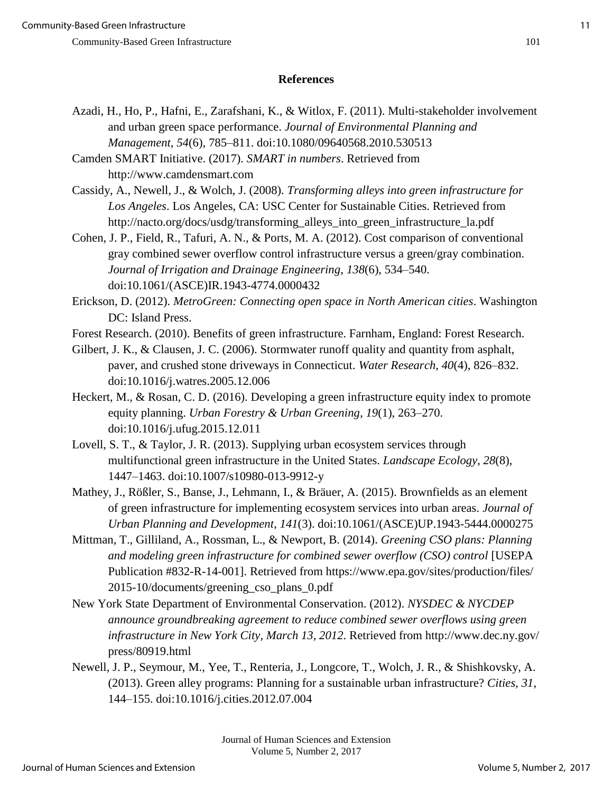# **References**

Azadi, H., Ho, P., Hafni, E., Zarafshani, K., & Witlox, F. (2011). Multi-stakeholder involvement and urban green space performance. *Journal of Environmental Planning and Management*, *54*(6), 785–811. doi:10.1080/09640568.2010.530513

Camden SMART Initiative. (2017). *SMART in numbers*. Retrieved from http://www.camdensmart.com

Cassidy, A., Newell, J., & Wolch, J. (2008). *Transforming alleys into green infrastructure for Los Angeles*. Los Angeles, CA: USC Center for Sustainable Cities. Retrieved from http://nacto.org/docs/usdg/transforming\_alleys\_into\_green\_infrastructure\_la.pdf

Cohen, J. P., Field, R., Tafuri, A. N., & Ports, M. A. (2012). Cost comparison of conventional gray combined sewer overflow control infrastructure versus a green/gray combination. *Journal of Irrigation and Drainage Engineering*, *138*(6), 534–540. doi:10.1061/(ASCE)IR.1943-4774.0000432

Erickson, D. (2012). *MetroGreen: Connecting open space in North American cities*. Washington DC: Island Press.

Forest Research. (2010). Benefits of green infrastructure. Farnham, England: Forest Research.

Gilbert, J. K., & Clausen, J. C. (2006). Stormwater runoff quality and quantity from asphalt, paver, and crushed stone driveways in Connecticut. *Water Research*, *40*(4), 826–832. doi:10.1016/j.watres.2005.12.006

- Heckert, M., & Rosan, C. D. (2016). Developing a green infrastructure equity index to promote equity planning. *Urban Forestry & Urban Greening*, *19*(1), 263–270. doi:10.1016/j.ufug.2015.12.011
- Lovell, S. T., & Taylor, J. R. (2013). Supplying urban ecosystem services through multifunctional green infrastructure in the United States. *Landscape Ecology*, *28*(8), 1447–1463. doi:10.1007/s10980-013-9912-y

Mathey, J., Rößler, S., Banse, J., Lehmann, I., & Bräuer, A. (2015). Brownfields as an element of green infrastructure for implementing ecosystem services into urban areas. *Journal of Urban Planning and Development*, *141*(3). doi:10.1061/(ASCE)UP.1943-5444.0000275

- Mittman, T., Gilliland, A., Rossman, L., & Newport, B. (2014). *Greening CSO plans: Planning and modeling green infrastructure for combined sewer overflow (CSO) control* [USEPA Publication #832-R-14-001]. Retrieved from https://www.epa.gov/sites/production/files/ 2015-10/documents/greening\_cso\_plans\_0.pdf
- New York State Department of Environmental Conservation. (2012). *NYSDEC & NYCDEP announce groundbreaking agreement to reduce combined sewer overflows using green infrastructure in New York City, March 13, 2012*. Retrieved from http://www.dec.ny.gov/ press/80919.html
- Newell, J. P., Seymour, M., Yee, T., Renteria, J., Longcore, T., Wolch, J. R., & Shishkovsky, A. (2013). Green alley programs: Planning for a sustainable urban infrastructure? *Cities*, *31*, 144–155. doi:10.1016/j.cities.2012.07.004